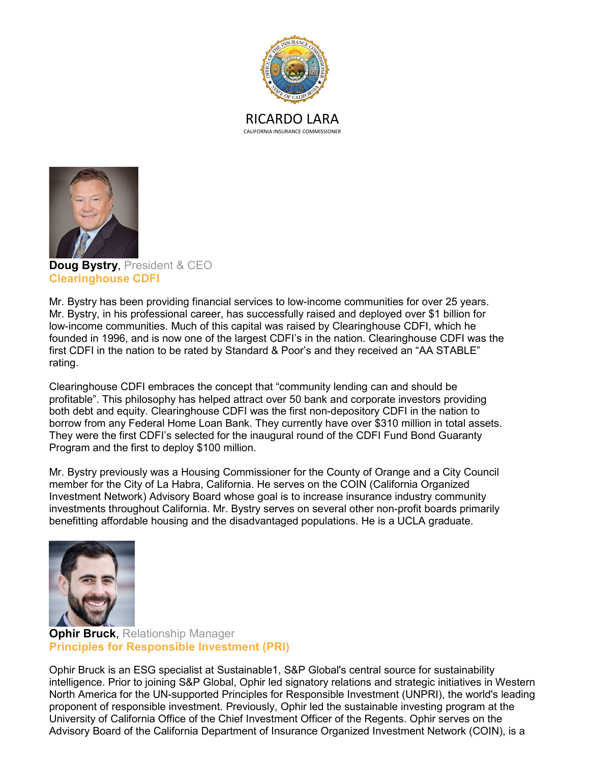



**Doug Bystry**, President & CEO **Clearinghouse CDFI**

Mr. Bystry has been providing financial services to low-income communities for over 25 years. Mr. Bystry, in his professional career, has successfully raised and deployed over \$1 billion for low-income communities. Much of this capital was raised by Clearinghouse CDFI, which he founded in 1996, and is now one of the largest CDFI's in the nation. Clearinghouse CDFI was the first CDFI in the nation to be rated by Standard & Poor's and they received an "AA STABLE" rating.

Clearinghouse CDFI embraces the concept that "community lending can and should be profitable". This philosophy has helped attract over 50 bank and corporate investors providing both debt and equity. Clearinghouse CDFI was the first non-depository CDFI in the nation to borrow from any Federal Home Loan Bank. They currently have over \$310 million in total assets. They were the first CDFI's selected for the inaugural round of the CDFI Fund Bond Guaranty Program and the first to deploy \$100 million.

Mr. Bystry previously was a Housing Commissioner for the County of Orange and a City Council member for the City of La Habra, California. He serves on the COIN (California Organized Investment Network) Advisory Board whose goal is to increase insurance industry community investments throughout California. Mr. Bystry serves on several other non-profit boards primarily benefitting affordable housing and the disadvantaged populations. He is a UCLA graduate.



**Ophir Bruck**, Relationship Manager **Principles for Responsible Investment (PRI)**

Ophir Bruck is an ESG specialist at Sustainable1, S&P Global's central source for sustainability intelligence. Prior to joining S&P Global, Ophir led signatory relations and strategic initiatives in Western North America for the UN-supported Principles for Responsible Investment (UNPRI), the world's leading proponent of responsible investment. Previously, Ophir led the sustainable investing program at the University of California Office of the Chief Investment Officer of the Regents. Ophir serves on the Advisory Board of the California Department of Insurance Organized Investment Network (COIN), is a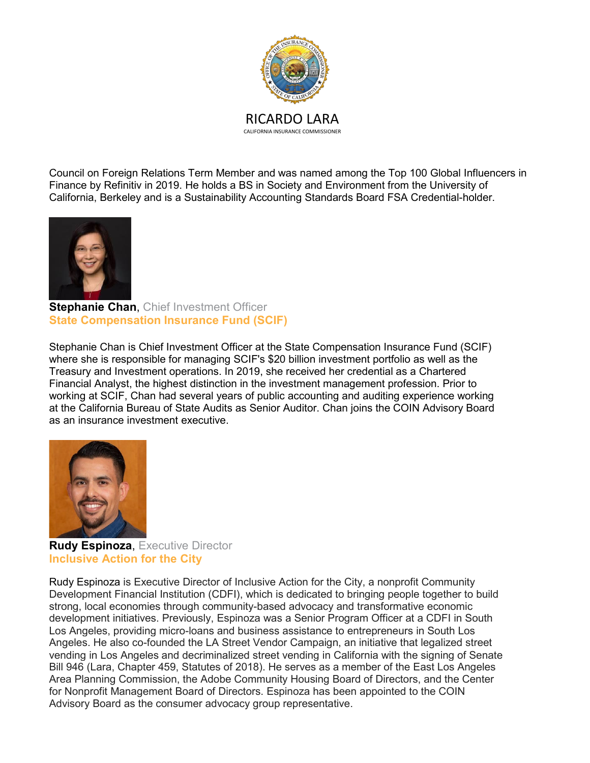

Council on Foreign Relations Term Member and was named among the Top 100 Global Influencers in Finance by Refinitiv in 2019. He holds a BS in Society and Environment from the University of California, Berkeley and is a Sustainability Accounting Standards Board FSA Credential-holder.



**Stephanie Chan**, Chief Investment Officer **State Compensation Insurance Fund (SCIF)**

Stephanie Chan is Chief Investment Officer at the State Compensation Insurance Fund (SCIF) where she is responsible for managing SCIF's \$20 billion investment portfolio as well as the Treasury and Investment operations. In 2019, she received her credential as a Chartered Financial Analyst, the highest distinction in the investment management profession. Prior to working at SCIF, Chan had several years of public accounting and auditing experience working at the California Bureau of State Audits as Senior Auditor. Chan joins the COIN Advisory Board as an insurance investment executive.



**Rudy Espinoza**, Executive Director **Inclusive Action for the City**

Rudy Espinoza is Executive Director of Inclusive Action for the City, a nonprofit Community Development Financial Institution (CDFI), which is dedicated to bringing people together to build strong, local economies through community-based advocacy and transformative economic development initiatives. Previously, Espinoza was a Senior Program Officer at a CDFI in South Los Angeles, providing micro-loans and business assistance to entrepreneurs in South Los Angeles. He also co-founded the LA Street Vendor Campaign, an initiative that legalized street vending in Los Angeles and decriminalized street vending in California with the signing of Senate Bill 946 (Lara, Chapter 459, Statutes of 2018). He serves as a member of the East Los Angeles Area Planning Commission, the Adobe Community Housing Board of Directors, and the Center for Nonprofit Management Board of Directors. Espinoza has been appointed to the COIN Advisory Board as the consumer advocacy group representative.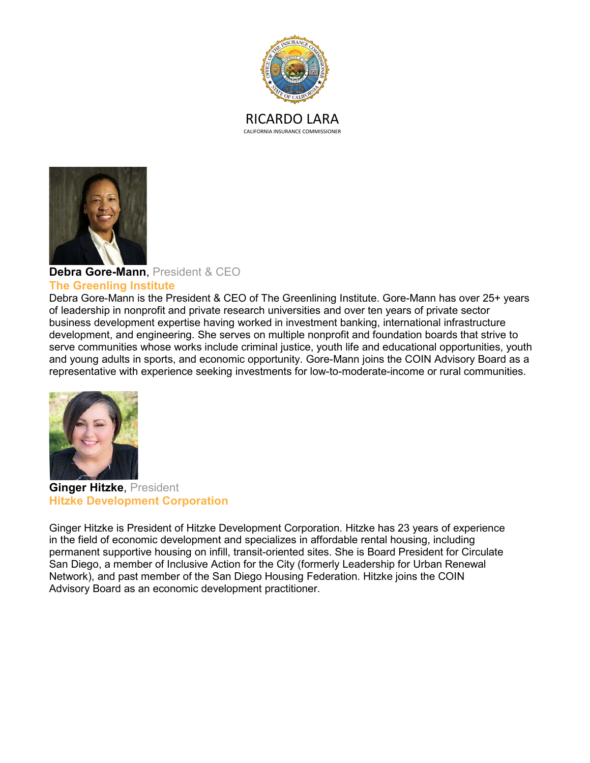



## **Debra Gore-Mann**, President & CEO

## **The Greenling Institute**

Debra Gore-Mann is the President & CEO of The Greenlining Institute. Gore-Mann has over 25+ years of leadership in nonprofit and private research universities and over ten years of private sector business development expertise having worked in investment banking, international infrastructure development, and engineering. She serves on multiple nonprofit and foundation boards that strive to serve communities whose works include criminal justice, youth life and educational opportunities, youth and young adults in sports, and economic opportunity. Gore-Mann joins the COIN Advisory Board as a representative with experience seeking investments for low-to-moderate-income or rural communities.



**Ginger Hitzke**, President **Hitzke Development Corporation**

Ginger Hitzke is President of Hitzke Development Corporation. Hitzke has 23 years of experience in the field of economic development and specializes in affordable rental housing, including permanent supportive housing on infill, transit-oriented sites. She is Board President for Circulate San Diego, a member of Inclusive Action for the City (formerly Leadership for Urban Renewal Network), and past member of the San Diego Housing Federation. Hitzke joins the COIN Advisory Board as an economic development practitioner.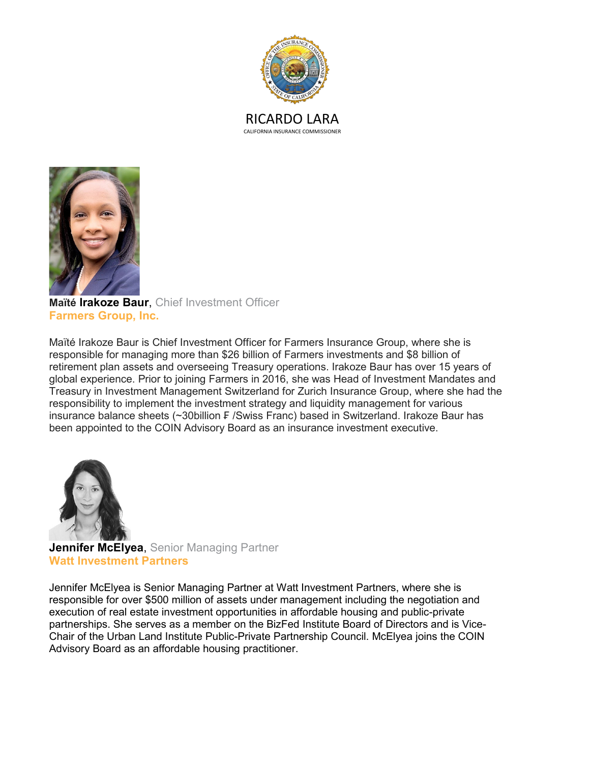



**Maïté Irakoze Baur**, Chief Investment Officer **Farmers Group, Inc.**

Maïté Irakoze Baur is Chief Investment Officer for Farmers Insurance Group, where she is responsible for managing more than \$26 billion of Farmers investments and \$8 billion of retirement plan assets and overseeing Treasury operations. Irakoze Baur has over 15 years of global experience. Prior to joining Farmers in 2016, she was Head of Investment Mandates and Treasury in Investment Management Switzerland for Zurich Insurance Group, where she had the responsibility to implement the investment strategy and liquidity management for various insurance balance sheets (~30billion ₣ /Swiss Franc) based in Switzerland. Irakoze Baur has been appointed to the COIN Advisory Board as an insurance investment executive.



**Jennifer McElyea**, Senior Managing Partner **Watt Investment Partners**

Jennifer McElyea is Senior Managing Partner at Watt Investment Partners, where she is responsible for over \$500 million of assets under management including the negotiation and execution of real estate investment opportunities in affordable housing and public-private partnerships. She serves as a member on the BizFed Institute Board of Directors and is Vice-Chair of the Urban Land Institute Public-Private Partnership Council. McElyea joins the COIN Advisory Board as an affordable housing practitioner.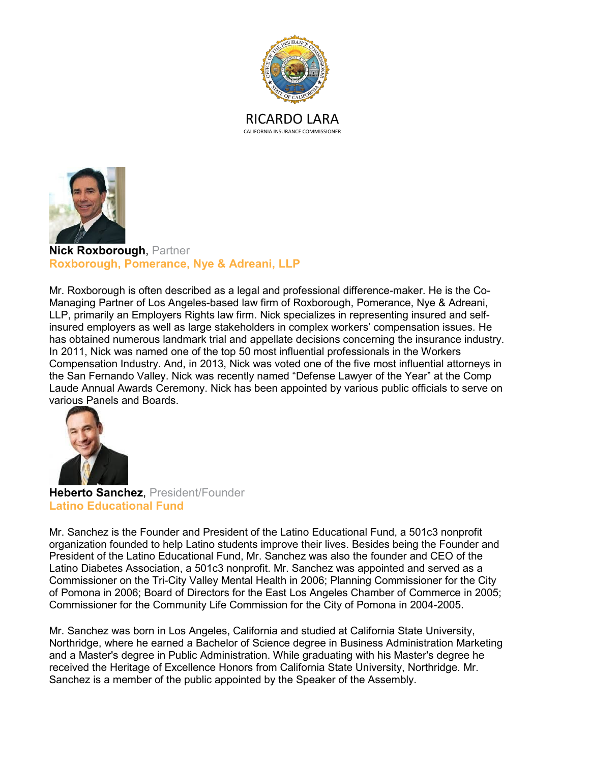



**Nick Roxborough**, Partner **Roxborough, Pomerance, Nye & Adreani, LLP**

Mr. Roxborough is often described as a legal and professional difference-maker. He is the Co-Managing Partner of Los Angeles-based law firm of Roxborough, Pomerance, Nye & Adreani, LLP, primarily an Employers Rights law firm. Nick specializes in representing insured and selfinsured employers as well as large stakeholders in complex workers' compensation issues. He has obtained numerous landmark trial and appellate decisions concerning the insurance industry. In 2011, Nick was named one of the top 50 most influential professionals in the Workers Compensation Industry. And, in 2013, Nick was voted one of the five most influential attorneys in the San Fernando Valley. Nick was recently named "Defense Lawyer of the Year" at the Comp Laude Annual Awards Ceremony. Nick has been appointed by various public officials to serve on various Panels and Boards.



**Heberto Sanchez**, President/Founder **Latino Educational Fund**

Mr. Sanchez is the Founder and President of the Latino Educational Fund, a 501c3 nonprofit organization founded to help Latino students improve their lives. Besides being the Founder and President of the Latino Educational Fund, Mr. Sanchez was also the founder and CEO of the Latino Diabetes Association, a 501c3 nonprofit. Mr. Sanchez was appointed and served as a Commissioner on the Tri-City Valley Mental Health in 2006; Planning Commissioner for the City of Pomona in 2006; Board of Directors for the East Los Angeles Chamber of Commerce in 2005; Commissioner for the Community Life Commission for the City of Pomona in 2004-2005.

Mr. Sanchez was born in Los Angeles, California and studied at California State University, Northridge, where he earned a Bachelor of Science degree in Business Administration Marketing and a Master's degree in Public Administration. While graduating with his Master's degree he received the Heritage of Excellence Honors from California State University, Northridge. Mr. Sanchez is a member of the public appointed by the Speaker of the Assembly.